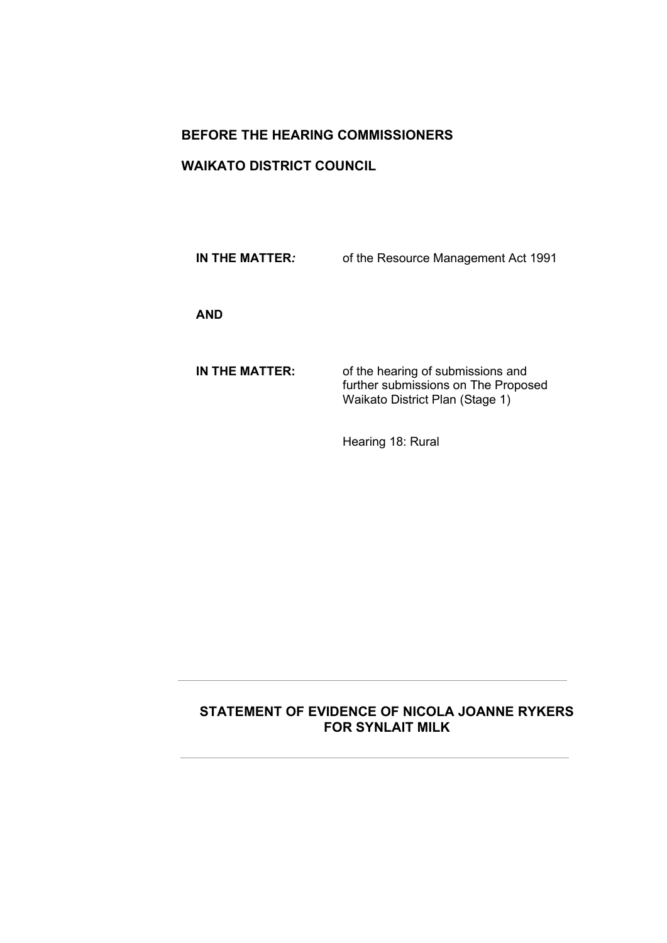# **BEFORE THE HEARING COMMISSIONERS**

# **WAIKATO DISTRICT COUNCIL**

**IN THE MATTER***:* of the Resource Management Act 1991

**AND**

**IN THE MATTER:** of the hearing of submissions and further submissions on The Proposed Waikato District Plan (Stage 1)

Hearing 18: Rural

# **STATEMENT OF EVIDENCE OF NICOLA JOANNE RYKERS FOR SYNLAIT MILK**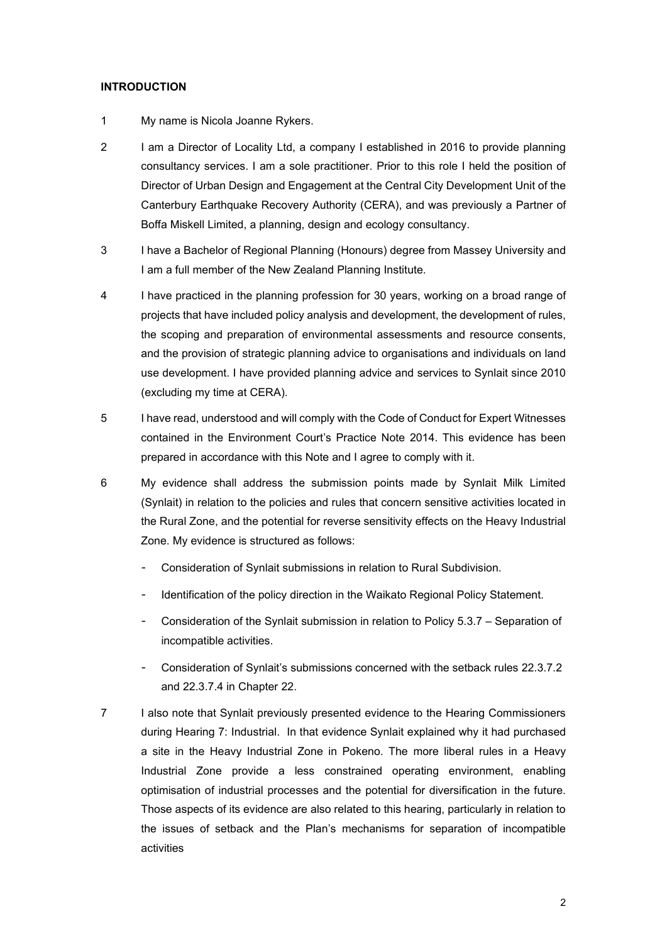## **INTRODUCTION**

- 1 My name is Nicola Joanne Rykers.
- 2 I am a Director of Locality Ltd, a company I established in 2016 to provide planning consultancy services. I am a sole practitioner. Prior to this role I held the position of Director of Urban Design and Engagement at the Central City Development Unit of the Canterbury Earthquake Recovery Authority (CERA), and was previously a Partner of Boffa Miskell Limited, a planning, design and ecology consultancy.
- 3 I have a Bachelor of Regional Planning (Honours) degree from Massey University and I am a full member of the New Zealand Planning Institute.
- 4 I have practiced in the planning profession for 30 years, working on a broad range of projects that have included policy analysis and development, the development of rules, the scoping and preparation of environmental assessments and resource consents, and the provision of strategic planning advice to organisations and individuals on land use development. I have provided planning advice and services to Synlait since 2010 (excluding my time at CERA).
- 5 I have read, understood and will comply with the Code of Conduct for Expert Witnesses contained in the Environment Court's Practice Note 2014. This evidence has been prepared in accordance with this Note and I agree to comply with it.
- 6 My evidence shall address the submission points made by Synlait Milk Limited (Synlait) in relation to the policies and rules that concern sensitive activities located in the Rural Zone, and the potential for reverse sensitivity effects on the Heavy Industrial Zone. My evidence is structured as follows:
	- Consideration of Synlait submissions in relation to Rural Subdivision.
	- Identification of the policy direction in the Waikato Regional Policy Statement.
	- Consideration of the Synlait submission in relation to Policy 5.3.7 Separation of incompatible activities.
	- Consideration of Synlait's submissions concerned with the setback rules 22.3.7.2 and 22.3.7.4 in Chapter 22.
- 7 I also note that Synlait previously presented evidence to the Hearing Commissioners during Hearing 7: Industrial. In that evidence Synlait explained why it had purchased a site in the Heavy Industrial Zone in Pokeno. The more liberal rules in a Heavy Industrial Zone provide a less constrained operating environment, enabling optimisation of industrial processes and the potential for diversification in the future. Those aspects of its evidence are also related to this hearing, particularly in relation to the issues of setback and the Plan's mechanisms for separation of incompatible activities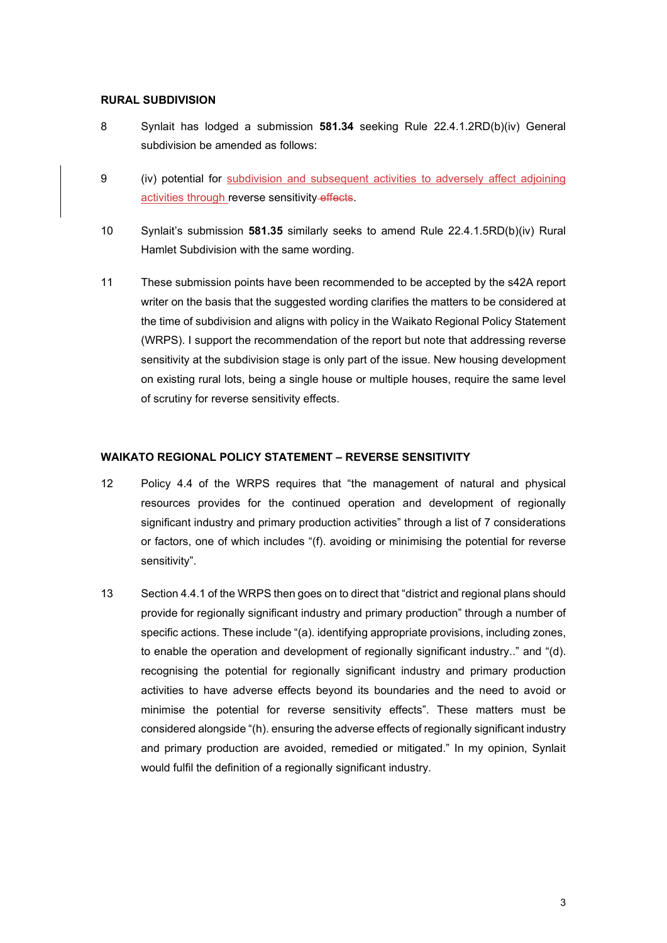#### **RURAL SUBDIVISION**

- 8 Synlait has lodged a submission **581.34** seeking Rule 22.4.1.2RD(b)(iv) General subdivision be amended as follows:
- 9 (iv) potential for subdivision and subsequent activities to adversely affect adjoining activities through reverse sensitivity-effects.
- 10 Synlait's submission **581.35** similarly seeks to amend Rule 22.4.1.5RD(b)(iv) Rural Hamlet Subdivision with the same wording.
- 11 These submission points have been recommended to be accepted by the s42A report writer on the basis that the suggested wording clarifies the matters to be considered at the time of subdivision and aligns with policy in the Waikato Regional Policy Statement (WRPS). I support the recommendation of the report but note that addressing reverse sensitivity at the subdivision stage is only part of the issue. New housing development on existing rural lots, being a single house or multiple houses, require the same level of scrutiny for reverse sensitivity effects.

## **WAIKATO REGIONAL POLICY STATEMENT – REVERSE SENSITIVITY**

- 12 Policy 4.4 of the WRPS requires that "the management of natural and physical resources provides for the continued operation and development of regionally significant industry and primary production activities" through a list of 7 considerations or factors, one of which includes "(f). avoiding or minimising the potential for reverse sensitivity".
- 13 Section 4.4.1 of the WRPS then goes on to direct that "district and regional plans should provide for regionally significant industry and primary production" through a number of specific actions. These include "(a). identifying appropriate provisions, including zones, to enable the operation and development of regionally significant industry.." and "(d). recognising the potential for regionally significant industry and primary production activities to have adverse effects beyond its boundaries and the need to avoid or minimise the potential for reverse sensitivity effects". These matters must be considered alongside "(h). ensuring the adverse effects of regionally significant industry and primary production are avoided, remedied or mitigated." In my opinion, Synlait would fulfil the definition of a regionally significant industry.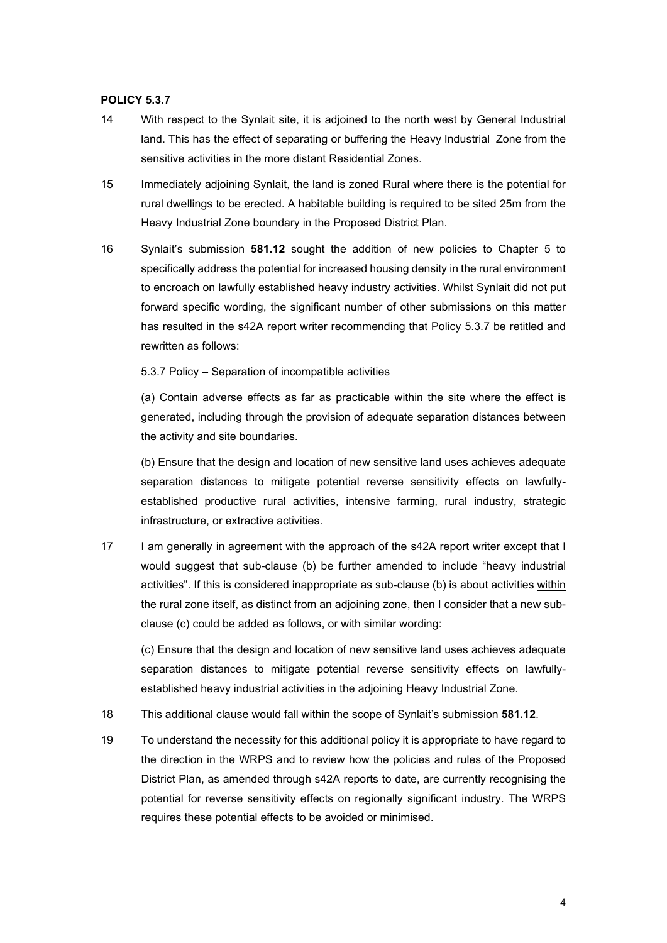## **POLICY 5.3.7**

- 14 With respect to the Synlait site, it is adjoined to the north west by General Industrial land. This has the effect of separating or buffering the Heavy Industrial Zone from the sensitive activities in the more distant Residential Zones.
- 15 Immediately adjoining Synlait, the land is zoned Rural where there is the potential for rural dwellings to be erected. A habitable building is required to be sited 25m from the Heavy Industrial Zone boundary in the Proposed District Plan.
- 16 Synlait's submission **581.12** sought the addition of new policies to Chapter 5 to specifically address the potential for increased housing density in the rural environment to encroach on lawfully established heavy industry activities. Whilst Synlait did not put forward specific wording, the significant number of other submissions on this matter has resulted in the s42A report writer recommending that Policy 5.3.7 be retitled and rewritten as follows:

5.3.7 Policy – Separation of incompatible activities

(a) Contain adverse effects as far as practicable within the site where the effect is generated, including through the provision of adequate separation distances between the activity and site boundaries.

(b) Ensure that the design and location of new sensitive land uses achieves adequate separation distances to mitigate potential reverse sensitivity effects on lawfullyestablished productive rural activities, intensive farming, rural industry, strategic infrastructure, or extractive activities.

17 I am generally in agreement with the approach of the s42A report writer except that I would suggest that sub-clause (b) be further amended to include "heavy industrial activities". If this is considered inappropriate as sub-clause (b) is about activities within the rural zone itself, as distinct from an adjoining zone, then I consider that a new subclause (c) could be added as follows, or with similar wording:

(c) Ensure that the design and location of new sensitive land uses achieves adequate separation distances to mitigate potential reverse sensitivity effects on lawfullyestablished heavy industrial activities in the adjoining Heavy Industrial Zone.

- 18 This additional clause would fall within the scope of Synlait's submission **581.12**.
- 19 To understand the necessity for this additional policy it is appropriate to have regard to the direction in the WRPS and to review how the policies and rules of the Proposed District Plan, as amended through s42A reports to date, are currently recognising the potential for reverse sensitivity effects on regionally significant industry. The WRPS requires these potential effects to be avoided or minimised.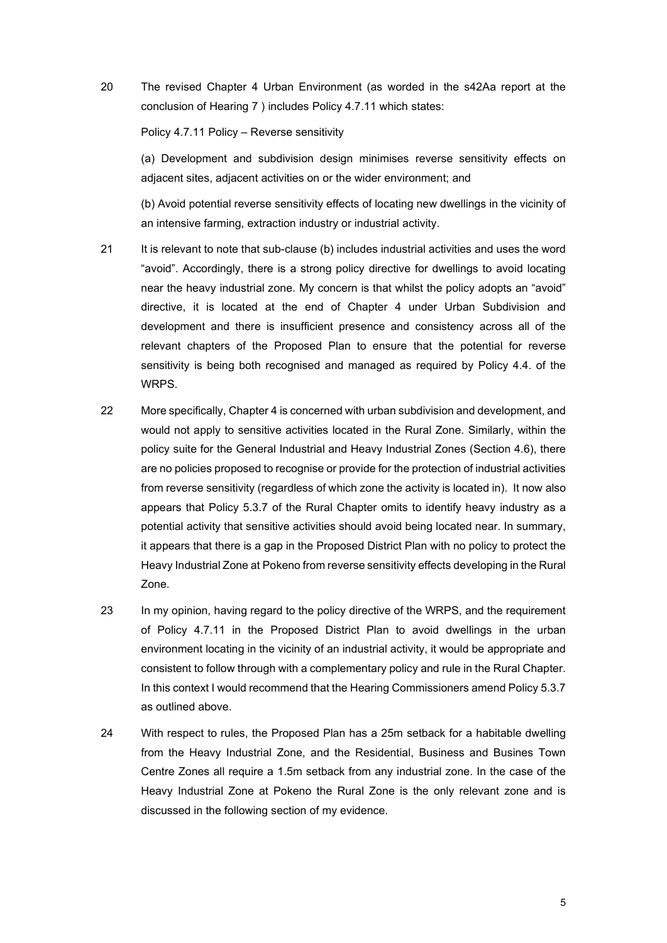20 The revised Chapter 4 Urban Environment (as worded in the s42Aa report at the conclusion of Hearing 7 ) includes Policy 4.7.11 which states:

Policy 4.7.11 Policy – Reverse sensitivity

(a) Development and subdivision design minimises reverse sensitivity effects on adjacent sites, adjacent activities on or the wider environment; and

(b) Avoid potential reverse sensitivity effects of locating new dwellings in the vicinity of an intensive farming, extraction industry or industrial activity.

- 21 It is relevant to note that sub-clause (b) includes industrial activities and uses the word "avoid". Accordingly, there is a strong policy directive for dwellings to avoid locating near the heavy industrial zone. My concern is that whilst the policy adopts an "avoid" directive, it is located at the end of Chapter 4 under Urban Subdivision and development and there is insufficient presence and consistency across all of the relevant chapters of the Proposed Plan to ensure that the potential for reverse sensitivity is being both recognised and managed as required by Policy 4.4. of the WRPS.
- 22 More specifically, Chapter 4 is concerned with urban subdivision and development, and would not apply to sensitive activities located in the Rural Zone. Similarly, within the policy suite for the General Industrial and Heavy Industrial Zones (Section 4.6), there are no policies proposed to recognise or provide for the protection of industrial activities from reverse sensitivity (regardless of which zone the activity is located in). It now also appears that Policy 5.3.7 of the Rural Chapter omits to identify heavy industry as a potential activity that sensitive activities should avoid being located near. In summary, it appears that there is a gap in the Proposed District Plan with no policy to protect the Heavy Industrial Zone at Pokeno from reverse sensitivity effects developing in the Rural Zone.
- 23 In my opinion, having regard to the policy directive of the WRPS, and the requirement of Policy 4.7.11 in the Proposed District Plan to avoid dwellings in the urban environment locating in the vicinity of an industrial activity, it would be appropriate and consistent to follow through with a complementary policy and rule in the Rural Chapter. In this context I would recommend that the Hearing Commissioners amend Policy 5.3.7 as outlined above.
- 24 With respect to rules, the Proposed Plan has a 25m setback for a habitable dwelling from the Heavy Industrial Zone, and the Residential, Business and Busines Town Centre Zones all require a 1.5m setback from any industrial zone. In the case of the Heavy Industrial Zone at Pokeno the Rural Zone is the only relevant zone and is discussed in the following section of my evidence.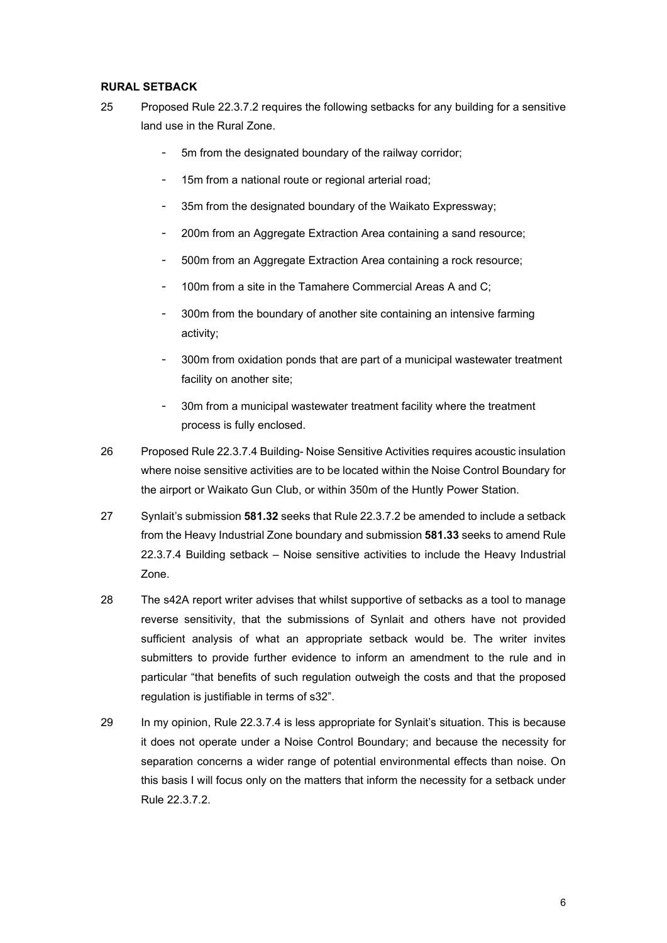## **RURAL SETBACK**

- 25 Proposed Rule 22.3.7.2 requires the following setbacks for any building for a sensitive land use in the Rural Zone.
	- 5m from the designated boundary of the railway corridor;
	- 15m from a national route or regional arterial road;
	- 35m from the designated boundary of the Waikato Expressway;
	- 200m from an Aggregate Extraction Area containing a sand resource;
	- 500m from an Aggregate Extraction Area containing a rock resource;
	- 100m from a site in the Tamahere Commercial Areas A and C:
	- 300m from the boundary of another site containing an intensive farming activity;
	- 300m from oxidation ponds that are part of a municipal wastewater treatment facility on another site;
	- 30m from a municipal wastewater treatment facility where the treatment process is fully enclosed.
- 26 Proposed Rule 22.3.7.4 Building- Noise Sensitive Activities requires acoustic insulation where noise sensitive activities are to be located within the Noise Control Boundary for the airport or Waikato Gun Club, or within 350m of the Huntly Power Station.
- 27 Synlait's submission **581.32** seeks that Rule 22.3.7.2 be amended to include a setback from the Heavy Industrial Zone boundary and submission **581.33** seeks to amend Rule 22.3.7.4 Building setback – Noise sensitive activities to include the Heavy Industrial Zone.
- 28 The s42A report writer advises that whilst supportive of setbacks as a tool to manage reverse sensitivity, that the submissions of Synlait and others have not provided sufficient analysis of what an appropriate setback would be. The writer invites submitters to provide further evidence to inform an amendment to the rule and in particular "that benefits of such regulation outweigh the costs and that the proposed regulation is justifiable in terms of s32".
- 29 In my opinion, Rule 22.3.7.4 is less appropriate for Synlait's situation. This is because it does not operate under a Noise Control Boundary; and because the necessity for separation concerns a wider range of potential environmental effects than noise. On this basis I will focus only on the matters that inform the necessity for a setback under Rule 22.3.7.2.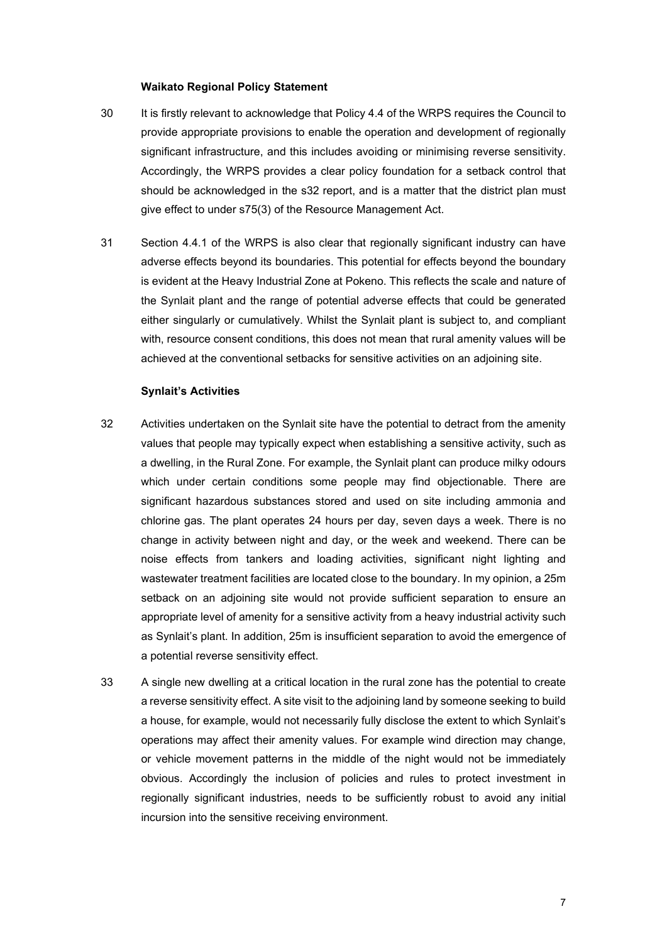#### **Waikato Regional Policy Statement**

- 30 It is firstly relevant to acknowledge that Policy 4.4 of the WRPS requires the Council to provide appropriate provisions to enable the operation and development of regionally significant infrastructure, and this includes avoiding or minimising reverse sensitivity. Accordingly, the WRPS provides a clear policy foundation for a setback control that should be acknowledged in the s32 report, and is a matter that the district plan must give effect to under s75(3) of the Resource Management Act.
- 31 Section 4.4.1 of the WRPS is also clear that regionally significant industry can have adverse effects beyond its boundaries. This potential for effects beyond the boundary is evident at the Heavy Industrial Zone at Pokeno. This reflects the scale and nature of the Synlait plant and the range of potential adverse effects that could be generated either singularly or cumulatively. Whilst the Synlait plant is subject to, and compliant with, resource consent conditions, this does not mean that rural amenity values will be achieved at the conventional setbacks for sensitive activities on an adjoining site.

#### **Synlait's Activities**

- 32 Activities undertaken on the Synlait site have the potential to detract from the amenity values that people may typically expect when establishing a sensitive activity, such as a dwelling, in the Rural Zone. For example, the Synlait plant can produce milky odours which under certain conditions some people may find objectionable. There are significant hazardous substances stored and used on site including ammonia and chlorine gas. The plant operates 24 hours per day, seven days a week. There is no change in activity between night and day, or the week and weekend. There can be noise effects from tankers and loading activities, significant night lighting and wastewater treatment facilities are located close to the boundary. In my opinion, a 25m setback on an adjoining site would not provide sufficient separation to ensure an appropriate level of amenity for a sensitive activity from a heavy industrial activity such as Synlait's plant. In addition, 25m is insufficient separation to avoid the emergence of a potential reverse sensitivity effect.
- 33 A single new dwelling at a critical location in the rural zone has the potential to create a reverse sensitivity effect. A site visit to the adjoining land by someone seeking to build a house, for example, would not necessarily fully disclose the extent to which Synlait's operations may affect their amenity values. For example wind direction may change, or vehicle movement patterns in the middle of the night would not be immediately obvious. Accordingly the inclusion of policies and rules to protect investment in regionally significant industries, needs to be sufficiently robust to avoid any initial incursion into the sensitive receiving environment.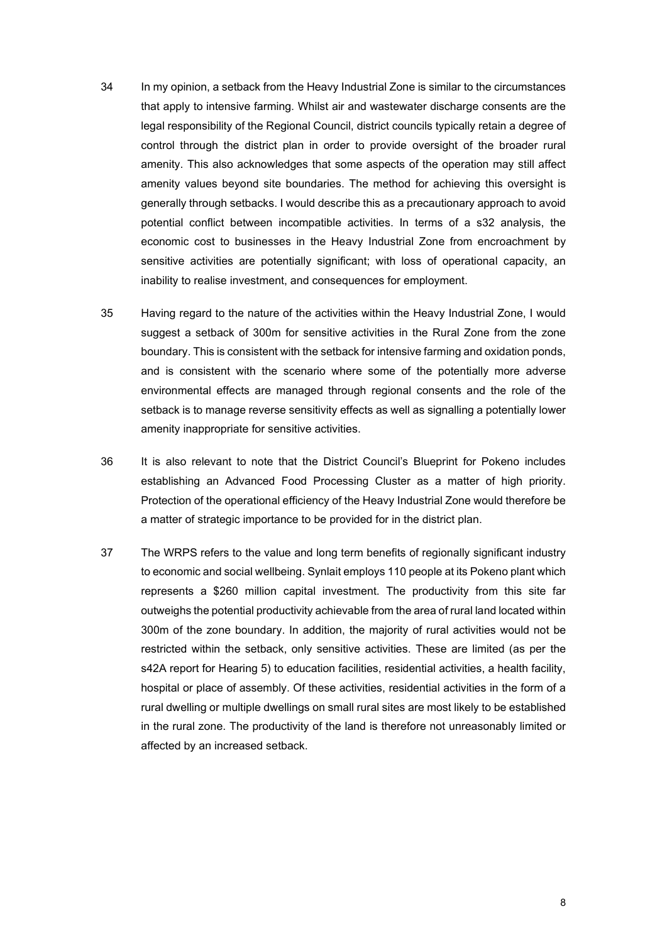- 34 In my opinion, a setback from the Heavy Industrial Zone is similar to the circumstances that apply to intensive farming. Whilst air and wastewater discharge consents are the legal responsibility of the Regional Council, district councils typically retain a degree of control through the district plan in order to provide oversight of the broader rural amenity. This also acknowledges that some aspects of the operation may still affect amenity values beyond site boundaries. The method for achieving this oversight is generally through setbacks. I would describe this as a precautionary approach to avoid potential conflict between incompatible activities. In terms of a s32 analysis, the economic cost to businesses in the Heavy Industrial Zone from encroachment by sensitive activities are potentially significant; with loss of operational capacity, an inability to realise investment, and consequences for employment.
- 35 Having regard to the nature of the activities within the Heavy Industrial Zone, I would suggest a setback of 300m for sensitive activities in the Rural Zone from the zone boundary. This is consistent with the setback for intensive farming and oxidation ponds, and is consistent with the scenario where some of the potentially more adverse environmental effects are managed through regional consents and the role of the setback is to manage reverse sensitivity effects as well as signalling a potentially lower amenity inappropriate for sensitive activities.
- 36 It is also relevant to note that the District Council's Blueprint for Pokeno includes establishing an Advanced Food Processing Cluster as a matter of high priority. Protection of the operational efficiency of the Heavy Industrial Zone would therefore be a matter of strategic importance to be provided for in the district plan.
- 37 The WRPS refers to the value and long term benefits of regionally significant industry to economic and social wellbeing. Synlait employs 110 people at its Pokeno plant which represents a \$260 million capital investment. The productivity from this site far outweighs the potential productivity achievable from the area of rural land located within 300m of the zone boundary. In addition, the majority of rural activities would not be restricted within the setback, only sensitive activities. These are limited (as per the s42A report for Hearing 5) to education facilities, residential activities, a health facility, hospital or place of assembly. Of these activities, residential activities in the form of a rural dwelling or multiple dwellings on small rural sites are most likely to be established in the rural zone. The productivity of the land is therefore not unreasonably limited or affected by an increased setback.